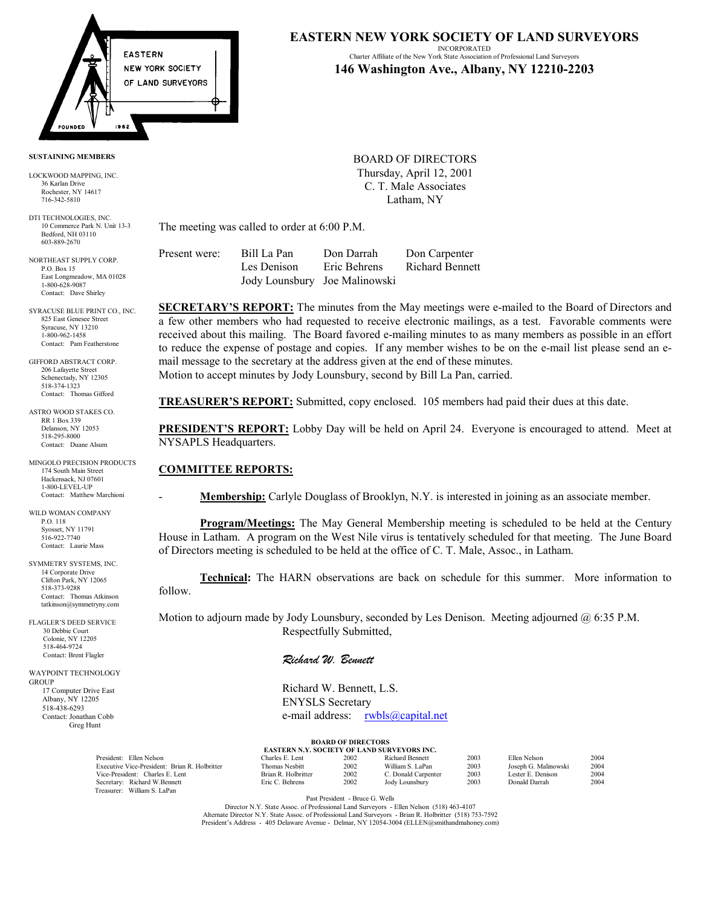

#### **SUSTAINING MEMBERS**

LOCKWOOD MAPPING, INC. 36 Karlan Drive Rochester, NY 14617 716-342-5810

DTI TECHNOLOGIES, INC. 10 Commerce Park N. Unit 13-3 Bedford, NH 03110 603-889-2670

NORTHEAST SUPPLY CORP. P.O. Box 15 East Longmeadow, MA 01028 1-800-628-9087 Contact: Dave Shirley

SYRACUSE BLUE PRINT CO., INC. 825 East Genesee Street Syracuse, NY 13210 1-800-962-1458 Contact: Pam Featherstone

GIFFORD ABSTRACT CORP. 206 Lafayette Street Schenectady, NY 12305 518-374-1323 Contact: Thomas Gifford

ASTRO WOOD STAKES CO. RR 1 Box 339 Delanson, NY 12053 518-295-8000 Contact: Duane Alsum

MINGOLO PRECISION PRODUCTS 174 South Main Street Hackensack, NJ 07601 1-800-LEVEL-UP Contact: Matthew Marchioni

WILD WOMAN COMPANY P.O. 118 Syosset, NY 11791 516-922-7740 Contact: Laurie Mass

SYMMETRY SYSTEMS, INC. 14 Corporate Drive Clifton Park, NY 12065 518-373-9288 Contact: Thomas Atkinson tatkinson@symmetryny.com

FLAGLER'S DEED SERVICE 30 Debbie Court Colonie, NY 12205 518-464-9724 Contact: Brent Flagler

WAYPOINT TECHNOLOGY **GROUP**  17 Computer Drive East Albany, NY 12205 518-438-6293 Contact: Jonathan Cobb Greg Hunt

# **EASTERN NEW YORK SOCIETY OF LAND SURVEYORS**

INCORPORATED Charter Affiliate of the New York State Association of Professional Land Surveyors **146 Washington Ave., Albany, NY 12210-2203**

BOARD OF DIRECTORS Thursday, April 12, 2001 C. T. Male Associates Latham, NY

The meeting was called to order at 6:00 P.M.

| Present were: | Bill La Pan                   | Don Darrah   | Don Carpenter          |
|---------------|-------------------------------|--------------|------------------------|
|               | Les Denison                   | Eric Behrens | <b>Richard Bennett</b> |
|               | Jody Lounsbury Joe Malinowski |              |                        |

**SECRETARY'S REPORT:** The minutes from the May meetings were e-mailed to the Board of Directors and a few other members who had requested to receive electronic mailings, as a test. Favorable comments were received about this mailing. The Board favored e-mailing minutes to as many members as possible in an effort to reduce the expense of postage and copies. If any member wishes to be on the e-mail list please send an email message to the secretary at the address given at the end of these minutes. Motion to accept minutes by Jody Lounsbury, second by Bill La Pan, carried.

**TREASURER'S REPORT:** Submitted, copy enclosed. 105 members had paid their dues at this date.

**PRESIDENT'S REPORT:** Lobby Day will be held on April 24. Everyone is encouraged to attend. Meet at NYSAPLS Headquarters.

## **COMMITTEE REPORTS:**

**Membership:** Carlyle Douglass of Brooklyn, N.Y. is interested in joining as an associate member.

**Program/Meetings:** The May General Membership meeting is scheduled to be held at the Century House in Latham. A program on the West Nile virus is tentatively scheduled for that meeting. The June Board of Directors meeting is scheduled to be held at the office of C. T. Male, Assoc., in Latham.

**Technical:** The HARN observations are back on schedule for this summer. More information to follow.

Motion to adjourn made by Jody Lounsbury, seconded by Les Denison. Meeting adjourned @ 6:35 P.M. Respectfully Submitted,

## *Richard W. Bennett*

 Richard W. Bennett, L.S. ENYSLS Secretary e-mail address: rwbls@capital.net

|  | <b>BOARD OF DIRECTORS</b> |  |                                       |  |
|--|---------------------------|--|---------------------------------------|--|
|  |                           |  | <b>MALL COCIDING OF LAID CUBULING</b> |  |

| <b>EASTERN N.Y. SOCIETY OF LAND SURVEYORS INC.</b> |                    |      |                     |      |                      |      |
|----------------------------------------------------|--------------------|------|---------------------|------|----------------------|------|
| President: Ellen Nelson                            | Charles E. Lent.   | 2002 | Richard Bennett     | 2003 | Ellen Nelson         | 2004 |
| Executive Vice-President: Brian R. Holbritter      | Thomas Nesbitt     | 2002 | William S. LaPan    | 2003 | Joseph G. Malinowski | 2004 |
| Vice-President: Charles E. Lent                    | Brian R Holbritter | 2002 | C. Donald Carpenter | 2003 | Lester E. Denison    | 2004 |
| Secretary: Richard W.Bennett                       | Eric C. Behrens    | 2002 | Jody Lounsbury      | 2003 | Donald Darrah        | 2004 |
| Treasurer: William S. LaPan                        |                    |      |                     |      |                      |      |

Past President - Bruce G. Wells

Director N.Y. State Assoc. of Professional Land Surveyors - Ellen Nelson (518) 463-4107 Alternate Director N.Y. State Assoc. of Professional Land Surveyors - Brian R. Holbritter (518) 753-7592 Presidentís Address - 405 Delaware Avenue - Delmar, NY 12054-3004 (ELLEN@smithandmahoney.com)